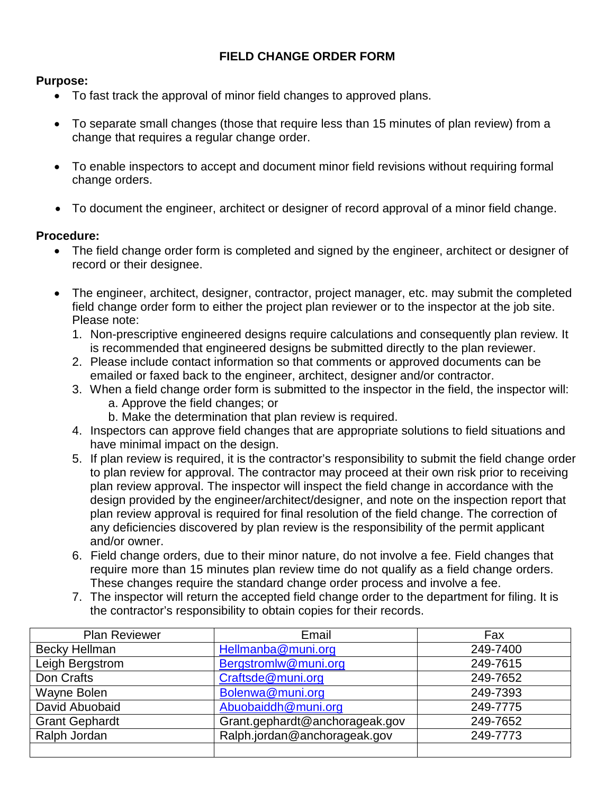## **FIELD CHANGE ORDER FORM**

## **Purpose:**

- To fast track the approval of minor field changes to approved plans.
- To separate small changes (those that require less than 15 minutes of plan review) from a change that requires a regular change order.
- To enable inspectors to accept and document minor field revisions without requiring formal change orders.
- To document the engineer, architect or designer of record approval of a minor field change.

## **Procedure:**

- The field change order form is completed and signed by the engineer, architect or designer of record or their designee.
- The engineer, architect, designer, contractor, project manager, etc. may submit the completed field change order form to either the project plan reviewer or to the inspector at the job site. Please note:
	- 1. Non-prescriptive engineered designs require calculations and consequently plan review. It is recommended that engineered designs be submitted directly to the plan reviewer.
	- 2. Please include contact information so that comments or approved documents can be emailed or faxed back to the engineer, architect, designer and/or contractor.
	- 3. When a field change order form is submitted to the inspector in the field, the inspector will: a. Approve the field changes; or
		- b. Make the determination that plan review is required.
	- 4. Inspectors can approve field changes that are appropriate solutions to field situations and have minimal impact on the design.
	- 5. If plan review is required, it is the contractor's responsibility to submit the field change order to plan review for approval. The contractor may proceed at their own risk prior to receiving plan review approval. The inspector will inspect the field change in accordance with the design provided by the engineer/architect/designer, and note on the inspection report that plan review approval is required for final resolution of the field change. The correction of any deficiencies discovered by plan review is the responsibility of the permit applicant and/or owner.
	- 6. Field change orders, due to their minor nature, do not involve a fee. Field changes that require more than 15 minutes plan review time do not qualify as a field change orders. These changes require the standard change order process and involve a fee.
	- 7. The inspector will return the accepted field change order to the department for filing. It is the contractor's responsibility to obtain copies for their records.

| <b>Plan Reviewer</b>  | Email                          | Fax      |
|-----------------------|--------------------------------|----------|
| <b>Becky Hellman</b>  | Hellmanba@muni.org             | 249-7400 |
| Leigh Bergstrom       | Bergstromlw@muni.org           | 249-7615 |
| Don Crafts            | Craftsde@muni.org              | 249-7652 |
| Wayne Bolen           | Bolenwa@muni.org               | 249-7393 |
| David Abuobaid        | Abuobaiddh@muni.org            | 249-7775 |
| <b>Grant Gephardt</b> | Grant.gephardt@anchorageak.gov | 249-7652 |
| Ralph Jordan          | Ralph.jordan@anchorageak.gov   | 249-7773 |
|                       |                                |          |